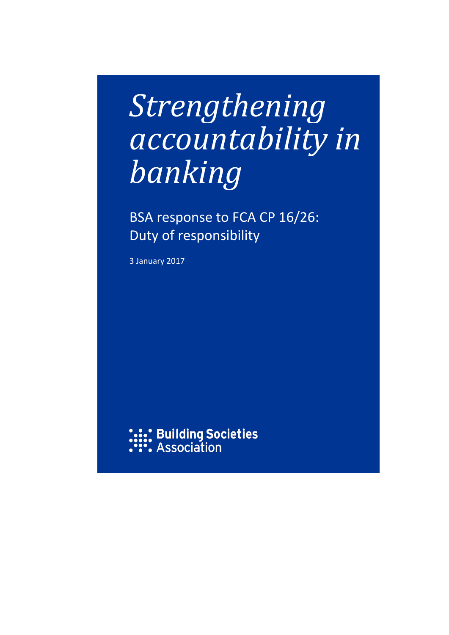# *Strengthening accountability in banking*

BSA response to FCA CP 16/26: Duty of responsibility

3 January 2017

**.:.:** Buil<mark>ding Societies</mark><br>\***:\*:** Association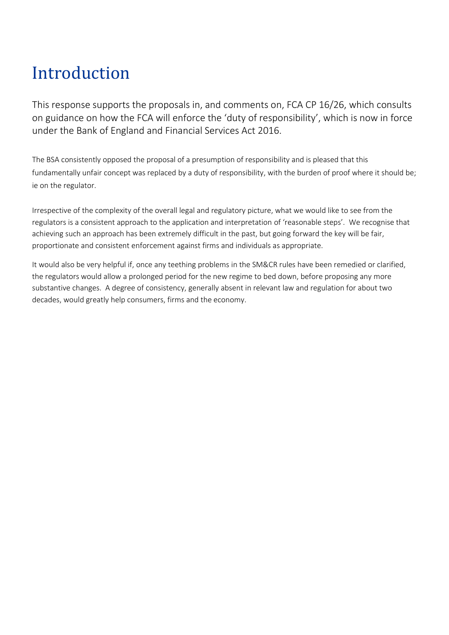# Introduction

This response supports the proposals in, and comments on, FCA CP 16/26, which consults on guidance on how the FCA will enforce the 'duty of responsibility', which is now in force under the Bank of England and Financial Services Act 2016.

The BSA consistently opposed the proposal of a presumption of responsibility and is pleased that this fundamentally unfair concept was replaced by a duty of responsibility, with the burden of proof where it should be; ie on the regulator.

Irrespective of the complexity of the overall legal and regulatory picture, what we would like to see from the regulators is a consistent approach to the application and interpretation of 'reasonable steps'. We recognise that achieving such an approach has been extremely difficult in the past, but going forward the key will be fair, proportionate and consistent enforcement against firms and individuals as appropriate.

It would also be very helpful if, once any teething problems in the SM&CR rules have been remedied or clarified, the regulators would allow a prolonged period for the new regime to bed down, before proposing any more substantive changes. A degree of consistency, generally absent in relevant law and regulation for about two decades, would greatly help consumers, firms and the economy.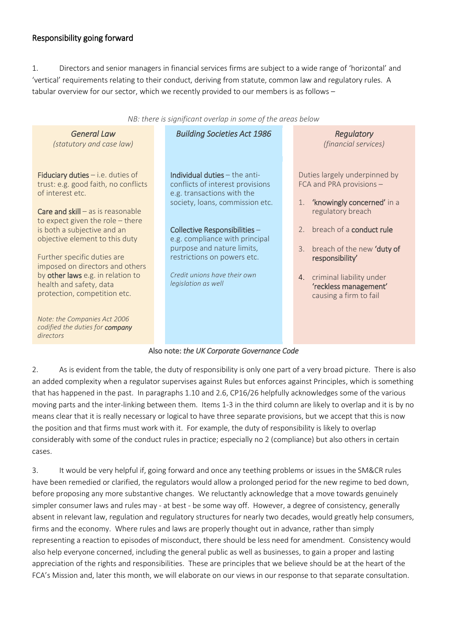#### Responsibility going forward

1. Directors and senior managers in financial services firms are subject to a wide range of 'horizontal' and 'vertical' requirements relating to their conduct, deriving from statute, common law and regulatory rules. A tabular overview for our sector, which we recently provided to our members is as follows –

| NB: there is significant overlap in some of the areas below                                         |                                                                                                                                      |                                                                                               |
|-----------------------------------------------------------------------------------------------------|--------------------------------------------------------------------------------------------------------------------------------------|-----------------------------------------------------------------------------------------------|
| <b>General Law</b><br>(statutory and case law)                                                      | <b>Building Societies Act 1986</b>                                                                                                   | Regulatory<br>(financial services)                                                            |
| Fiduciary duties $-$ i.e. duties of<br>trust: e.g. good faith, no conflicts<br>of interest etc.     | Individual duties $-$ the anti-<br>conflicts of interest provisions<br>e.g. transactions with the<br>society, loans, commission etc. | Duties largely underpinned by<br>FCA and PRA provisions -<br>'knowingly concerned' in a<br>1. |
| <b>Care and skill</b> $-$ as is reasonable<br>to expect given the role - there                      |                                                                                                                                      | regulatory breach<br>2. breach of a conduct rule                                              |
| is both a subjective and an<br>objective element to this duty                                       | Collective Responsibilities -<br>e.g. compliance with principal<br>purpose and nature limits,                                        | breach of the new 'duty of<br>3.                                                              |
| Further specific duties are<br>imposed on directors and others<br>by other laws e.g. in relation to | restrictions on powers etc.<br>Credit unions have their own                                                                          | responsibility'<br>4. criminal liability under                                                |
| health and safety, data<br>protection, competition etc.                                             | legislation as well                                                                                                                  | 'reckless management'<br>causing a firm to fail                                               |
| Note: the Companies Act 2006<br>codified the duties for company<br>directors                        |                                                                                                                                      |                                                                                               |
| Ales nata, the UK Censente Corporation Cade                                                         |                                                                                                                                      |                                                                                               |

#### Also note: *the UK Corporate Governance Code*

2. As is evident from the table, the duty of responsibility is only one part of a very broad picture. There is also an added complexity when a regulator supervises against Rules but enforces against Principles, which is something that has happened in the past. In paragraphs 1.10 and 2.6, CP16/26 helpfully acknowledges some of the various moving parts and the inter-linking between them. Items 1-3 in the third column are likely to overlap and it is by no means clear that it is really necessary or logical to have three separate provisions, but we accept that this is now the position and that firms must work with it. For example, the duty of responsibility is likely to overlap considerably with some of the conduct rules in practice; especially no 2 (compliance) but also others in certain cases.

3. It would be very helpful if, going forward and once any teething problems or issues in the SM&CR rules have been remedied or clarified, the regulators would allow a prolonged period for the new regime to bed down, before proposing any more substantive changes. We reluctantly acknowledge that a move towards genuinely simpler consumer laws and rules may - at best - be some way off. However, a degree of consistency, generally absent in relevant law, regulation and regulatory structures for nearly two decades, would greatly help consumers, firms and the economy. Where rules and laws are properly thought out in advance, rather than simply representing a reaction to episodes of misconduct, there should be less need for amendment. Consistency would also help everyone concerned, including the general public as well as businesses, to gain a proper and lasting appreciation of the rights and responsibilities. These are principles that we believe should be at the heart of the FCA's Mission and, later this month, we will elaborate on our views in our response to that separate consultation.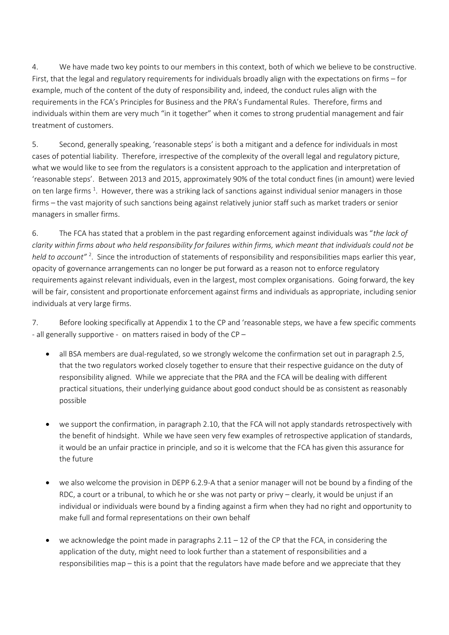4. We have made two key points to our members in this context, both of which we believe to be constructive. First, that the legal and regulatory requirements for individuals broadly align with the expectations on firms – for example, much of the content of the duty of responsibility and, indeed, the conduct rules align with the requirements in the FCA's Principles for Business and the PRA's Fundamental Rules. Therefore, firms and individuals within them are very much "in it together" when it comes to strong prudential management and fair treatment of customers.

5. Second, generally speaking, 'reasonable steps' is both a mitigant and a defence for individuals in most cases of potential liability. Therefore, irrespective of the complexity of the overall legal and regulatory picture, what we would like to see from the regulators is a consistent approach to the application and interpretation of 'reasonable steps'. Between 2013 and 2015, approximately 90% of the total conduct fines (in amount) were levied on ten large firms <sup>1</sup>. However, there was a striking lack of sanctions against individual senior managers in those firms – the vast majority of such sanctions being against relatively junior staff such as market traders or senior managers in smaller firms.

6. The FCA has stated that a problem in the past regarding enforcement against individuals was "*the lack of clarity within firms about who held responsibility for failures within firms, which meant that individuals could not be*  held to account"<sup>2</sup>. Since the introduction of statements of responsibility and responsibilities maps earlier this year, opacity of governance arrangements can no longer be put forward as a reason not to enforce regulatory requirements against relevant individuals, even in the largest, most complex organisations. Going forward, the key will be fair, consistent and proportionate enforcement against firms and individuals as appropriate, including senior individuals at very large firms.

7. Before looking specifically at Appendix 1 to the CP and 'reasonable steps, we have a few specific comments - all generally supportive - on matters raised in body of the CP –

- all BSA members are dual-regulated, so we strongly welcome the confirmation set out in paragraph 2.5, that the two regulators worked closely together to ensure that their respective guidance on the duty of responsibility aligned. While we appreciate that the PRA and the FCA will be dealing with different practical situations, their underlying guidance about good conduct should be as consistent as reasonably possible
- we support the confirmation, in paragraph 2.10, that the FCA will not apply standards retrospectively with the benefit of hindsight. While we have seen very few examples of retrospective application of standards, it would be an unfair practice in principle, and so it is welcome that the FCA has given this assurance for the future
- we also welcome the provision in DEPP 6.2.9-A that a senior manager will not be bound by a finding of the RDC, a court or a tribunal, to which he or she was not party or privy – clearly, it would be unjust if an individual or individuals were bound by a finding against a firm when they had no right and opportunity to make full and formal representations on their own behalf
- we acknowledge the point made in paragraphs  $2.11 12$  of the CP that the FCA, in considering the application of the duty, might need to look further than a statement of responsibilities and a responsibilities map – this is a point that the regulators have made before and we appreciate that they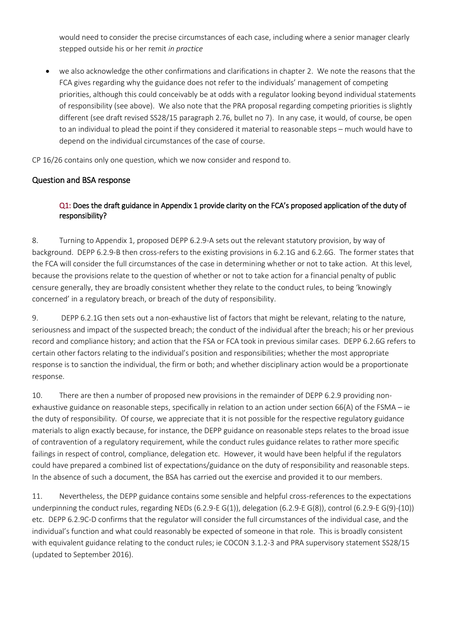would need to consider the precise circumstances of each case, including where a senior manager clearly stepped outside his or her remit *in practice*

 we also acknowledge the other confirmations and clarifications in chapter 2. We note the reasons that the FCA gives regarding why the guidance does not refer to the individuals' management of competing priorities, although this could conceivably be at odds with a regulator looking beyond individual statements of responsibility (see above). We also note that the PRA proposal regarding competing priorities is slightly different (see draft revised SS28/15 paragraph 2.76, bullet no 7). In any case, it would, of course, be open to an individual to plead the point if they considered it material to reasonable steps – much would have to depend on the individual circumstances of the case of course.

CP 16/26 contains only one question, which we now consider and respond to.

### Question and BSA response

### Q1: Does the draft guidance in Appendix 1 provide clarity on the FCA's proposed application of the duty of responsibility?

8. Turning to Appendix 1, proposed DEPP 6.2.9-A sets out the relevant statutory provision, by way of background. DEPP 6.2.9-B then cross-refers to the existing provisions in 6.2.1G and 6.2.6G. The former states that the FCA will consider the full circumstances of the case in determining whether or not to take action. At this level, because the provisions relate to the question of whether or not to take action for a financial penalty of public censure generally, they are broadly consistent whether they relate to the conduct rules, to being 'knowingly concerned' in a regulatory breach, or breach of the duty of responsibility.

9. DEPP 6.2.1G then sets out a non-exhaustive list of factors that might be relevant, relating to the nature, seriousness and impact of the suspected breach; the conduct of the individual after the breach; his or her previous record and compliance history; and action that the FSA or FCA took in previous similar cases. DEPP 6.2.6G refers to certain other factors relating to the individual's position and responsibilities; whether the most appropriate response is to sanction the individual, the firm or both; and whether disciplinary action would be a proportionate response.

10. There are then a number of proposed new provisions in the remainder of DEPP 6.2.9 providing nonexhaustive guidance on reasonable steps, specifically in relation to an action under section 66(A) of the FSMA – ie the duty of responsibility. Of course, we appreciate that it is not possible for the respective regulatory guidance materials to align exactly because, for instance, the DEPP guidance on reasonable steps relates to the broad issue of contravention of a regulatory requirement, while the conduct rules guidance relates to rather more specific failings in respect of control, compliance, delegation etc. However, it would have been helpful if the regulators could have prepared a combined list of expectations/guidance on the duty of responsibility and reasonable steps. In the absence of such a document, the BSA has carried out the exercise and provided it to our members.

11. Nevertheless, the DEPP guidance contains some sensible and helpful cross-references to the expectations underpinning the conduct rules, regarding NEDs (6.2.9-E G(1)), delegation (6.2.9-E G(8)), control (6.2.9-E G(9)-(10)) etc. DEPP 6.2.9C-D confirms that the regulator will consider the full circumstances of the individual case, and the individual's function and what could reasonably be expected of someone in that role. This is broadly consistent with equivalent guidance relating to the conduct rules; ie COCON 3.1.2-3 and PRA supervisory statement SS28/15 (updated to September 2016).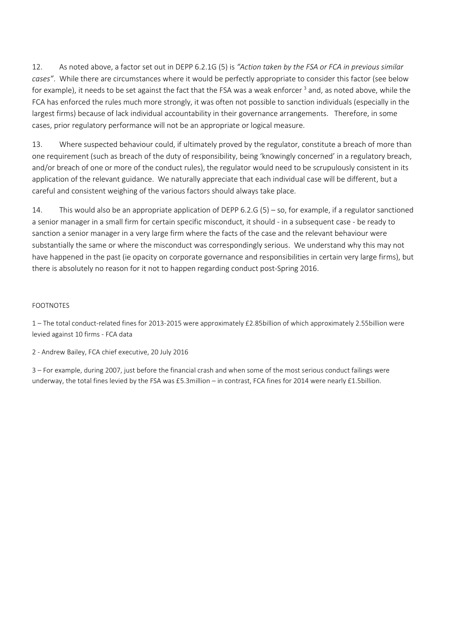12. As noted above, a factor set out in DEPP 6.2.1G (5) is *"Action taken by the FSA or FCA in previous similar cases"*. While there are circumstances where it would be perfectly appropriate to consider this factor (see below for example), it needs to be set against the fact that the FSA was a weak enforcer <sup>3</sup> and, as noted above, while the FCA has enforced the rules much more strongly, it was often not possible to sanction individuals (especially in the largest firms) because of lack individual accountability in their governance arrangements. Therefore, in some cases, prior regulatory performance will not be an appropriate or logical measure.

13. Where suspected behaviour could, if ultimately proved by the regulator, constitute a breach of more than one requirement (such as breach of the duty of responsibility, being 'knowingly concerned' in a regulatory breach, and/or breach of one or more of the conduct rules), the regulator would need to be scrupulously consistent in its application of the relevant guidance. We naturally appreciate that each individual case will be different, but a careful and consistent weighing of the various factors should always take place.

14. This would also be an appropriate application of DEPP 6.2.G (5) – so, for example, if a regulator sanctioned a senior manager in a small firm for certain specific misconduct, it should - in a subsequent case - be ready to sanction a senior manager in a very large firm where the facts of the case and the relevant behaviour were substantially the same or where the misconduct was correspondingly serious. We understand why this may not have happened in the past (ie opacity on corporate governance and responsibilities in certain very large firms), but there is absolutely no reason for it not to happen regarding conduct post-Spring 2016.

#### FOOTNOTES

1 – The total conduct-related fines for 2013-2015 were approximately £2.85billion of which approximately 2.55billion were levied against 10 firms - FCA data

2 - Andrew Bailey, FCA chief executive, 20 July 2016

3 – For example, during 2007, just before the financial crash and when some of the most serious conduct failings were underway, the total fines levied by the FSA was £5.3million – in contrast, FCA fines for 2014 were nearly £1.5billion.